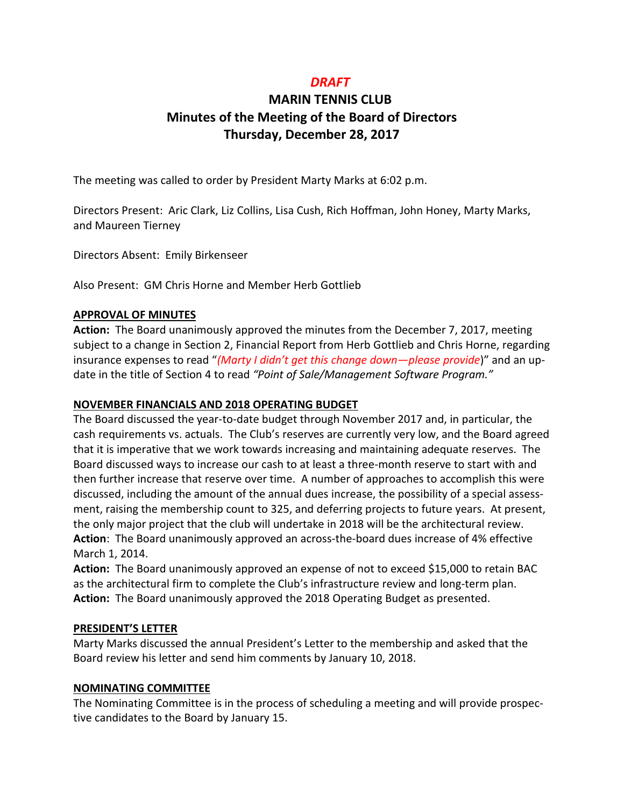## *DRAFT*

# **MARIN TENNIS CLUB Minutes of the Meeting of the Board of Directors Thursday, December 28, 2017**

The meeting was called to order by President Marty Marks at 6:02 p.m.

Directors Present: Aric Clark, Liz Collins, Lisa Cush, Rich Hoffman, John Honey, Marty Marks, and Maureen Tierney

Directors Absent: Emily Birkenseer

Also Present: GM Chris Horne and Member Herb Gottlieb

## **APPROVAL OF MINUTES**

**Action:** The Board unanimously approved the minutes from the December 7, 2017, meeting subject to a change in Section 2, Financial Report from Herb Gottlieb and Chris Horne, regarding insurance expenses to read "*(Marty I didn't get this change down—please provide*)" and an update in the title of Section 4 to read *"Point of Sale/Management Software Program."*

## **NOVEMBER FINANCIALS AND 2018 OPERATING BUDGET**

The Board discussed the year-to-date budget through November 2017 and, in particular, the cash requirements vs. actuals. The Club's reserves are currently very low, and the Board agreed that it is imperative that we work towards increasing and maintaining adequate reserves. The Board discussed ways to increase our cash to at least a three-month reserve to start with and then further increase that reserve over time. A number of approaches to accomplish this were discussed, including the amount of the annual dues increase, the possibility of a special assessment, raising the membership count to 325, and deferring projects to future years. At present, the only major project that the club will undertake in 2018 will be the architectural review. **Action**: The Board unanimously approved an across-the-board dues increase of 4% effective March 1, 2014.

**Action:** The Board unanimously approved an expense of not to exceed \$15,000 to retain BAC as the architectural firm to complete the Club's infrastructure review and long-term plan. **Action:** The Board unanimously approved the 2018 Operating Budget as presented.

## **PRESIDENT'S LETTER**

Marty Marks discussed the annual President's Letter to the membership and asked that the Board review his letter and send him comments by January 10, 2018.

## **NOMINATING COMMITTEE**

The Nominating Committee is in the process of scheduling a meeting and will provide prospective candidates to the Board by January 15.